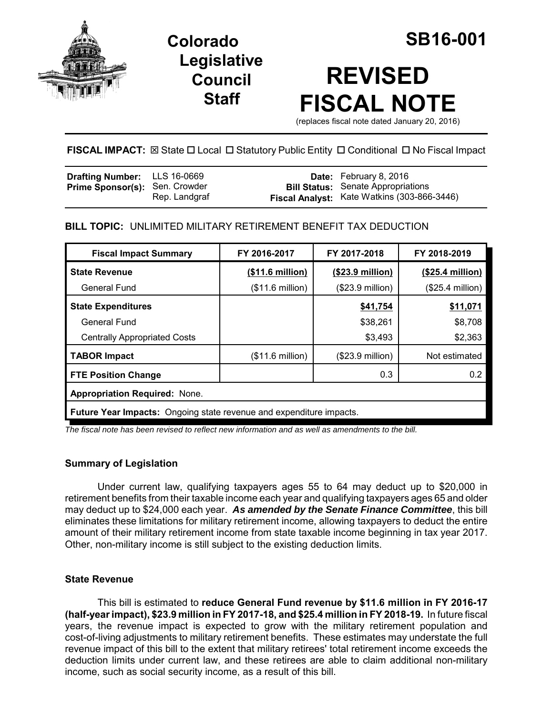

**Legislative Council Staff**

# **REVISED FISCAL NOTE**

(replaces fiscal note dated January 20, 2016)

## **FISCAL IMPACT:** ⊠ State □ Local □ Statutory Public Entity □ Conditional □ No Fiscal Impact

| <b>Drafting Number:</b> LLS 16-0669   |               | <b>Date:</b> February 8, 2016                                                                   |
|---------------------------------------|---------------|-------------------------------------------------------------------------------------------------|
| <b>Prime Sponsor(s): Sen. Crowder</b> | Rep. Landgraf | <b>Bill Status:</b> Senate Appropriations<br><b>Fiscal Analyst:</b> Kate Watkins (303-866-3446) |

## **BILL TOPIC:** UNLIMITED MILITARY RETIREMENT BENEFIT TAX DEDUCTION

| <b>Fiscal Impact Summary</b>                                               | FY 2016-2017     | FY 2017-2018              | FY 2018-2019     |  |
|----------------------------------------------------------------------------|------------------|---------------------------|------------------|--|
| <b>State Revenue</b>                                                       | (\$11.6 million) | $($23.9 \text{ million})$ | (\$25.4 million) |  |
| General Fund                                                               | (\$11.6 million) | $($23.9$ million)         | (\$25.4 million) |  |
| <b>State Expenditures</b>                                                  |                  | \$41,754                  | \$11,071         |  |
| <b>General Fund</b>                                                        |                  | \$38,261                  | \$8,708          |  |
| <b>Centrally Appropriated Costs</b>                                        |                  | \$3,493                   | \$2,363          |  |
| <b>TABOR Impact</b>                                                        | (\$11.6 million) | $($23.9$ million)         | Not estimated    |  |
| <b>FTE Position Change</b>                                                 |                  | 0.3                       | 0.2              |  |
| <b>Appropriation Required: None.</b>                                       |                  |                           |                  |  |
| <b>Future Year Impacts:</b> Ongoing state revenue and expenditure impacts. |                  |                           |                  |  |

*The fiscal note has been revised to reflect new information and as well as amendments to the bill.* 

### **Summary of Legislation**

Under current law, qualifying taxpayers ages 55 to 64 may deduct up to \$20,000 in retirement benefits from their taxable income each year and qualifying taxpayers ages 65 and older may deduct up to \$24,000 each year. *As amended by the Senate Finance Committee*, this bill eliminates these limitations for military retirement income, allowing taxpayers to deduct the entire amount of their military retirement income from state taxable income beginning in tax year 2017. Other, non-military income is still subject to the existing deduction limits.

### **State Revenue**

This bill is estimated to **reduce General Fund revenue by \$11.6 million in FY 2016-17 (half-year impact), \$23.9 million in FY 2017-18, and \$25.4 million in FY 2018-19.** In future fiscal years, the revenue impact is expected to grow with the military retirement population and cost-of-living adjustments to military retirement benefits. These estimates may understate the full revenue impact of this bill to the extent that military retirees' total retirement income exceeds the deduction limits under current law, and these retirees are able to claim additional non-military income, such as social security income, as a result of this bill.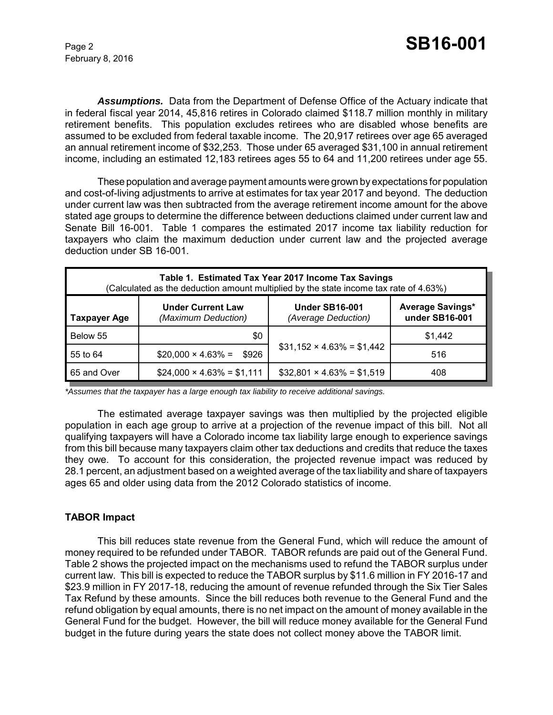February 8, 2016

*Assumptions.* Data from the Department of Defense Office of the Actuary indicate that in federal fiscal year 2014, 45,816 retires in Colorado claimed \$118.7 million monthly in military retirement benefits. This population excludes retirees who are disabled whose benefits are assumed to be excluded from federal taxable income. The 20,917 retirees over age 65 averaged an annual retirement income of \$32,253. Those under 65 averaged \$31,100 in annual retirement income, including an estimated 12,183 retirees ages 55 to 64 and 11,200 retirees under age 55.

These population and average payment amounts were grown by expectations for population and cost-of-living adjustments to arrive at estimates for tax year 2017 and beyond. The deduction under current law was then subtracted from the average retirement income amount for the above stated age groups to determine the difference between deductions claimed under current law and Senate Bill 16-001. Table 1 compares the estimated 2017 income tax liability reduction for taxpayers who claim the maximum deduction under current law and the projected average deduction under SB 16-001.

| Table 1. Estimated Tax Year 2017 Income Tax Savings<br>(Calculated as the deduction amount multiplied by the state income tax rate of 4.63%) |                                                 |                                              |                                           |  |
|----------------------------------------------------------------------------------------------------------------------------------------------|-------------------------------------------------|----------------------------------------------|-------------------------------------------|--|
| <b>Taxpayer Age</b>                                                                                                                          | <b>Under Current Law</b><br>(Maximum Deduction) | <b>Under SB16-001</b><br>(Average Deduction) | <b>Average Savings*</b><br>under SB16-001 |  |
| Below 55                                                                                                                                     | \$0                                             |                                              | \$1,442                                   |  |
| 55 to 64                                                                                                                                     | $$20,000 \times 4.63\% =$<br>\$926              | $$31,152 \times 4.63\% = $1,442$             | 516                                       |  |
| 65 and Over                                                                                                                                  | $$24,000 \times 4.63\% = $1,111$                | $$32,801 \times 4.63\% = $1,519$             | 408                                       |  |

*\*Assumes that the taxpayer has a large enough tax liability to receive additional savings.*

The estimated average taxpayer savings was then multiplied by the projected eligible population in each age group to arrive at a projection of the revenue impact of this bill. Not all qualifying taxpayers will have a Colorado income tax liability large enough to experience savings from this bill because many taxpayers claim other tax deductions and credits that reduce the taxes they owe. To account for this consideration, the projected revenue impact was reduced by 28.1 percent, an adjustment based on a weighted average of the tax liability and share of taxpayers ages 65 and older using data from the 2012 Colorado statistics of income.

### **TABOR Impact**

This bill reduces state revenue from the General Fund, which will reduce the amount of money required to be refunded under TABOR. TABOR refunds are paid out of the General Fund. Table 2 shows the projected impact on the mechanisms used to refund the TABOR surplus under current law. This bill is expected to reduce the TABOR surplus by \$11.6 million in FY 2016-17 and \$23.9 million in FY 2017-18, reducing the amount of revenue refunded through the Six Tier Sales Tax Refund by these amounts. Since the bill reduces both revenue to the General Fund and the refund obligation by equal amounts, there is no net impact on the amount of money available in the General Fund for the budget. However, the bill will reduce money available for the General Fund budget in the future during years the state does not collect money above the TABOR limit.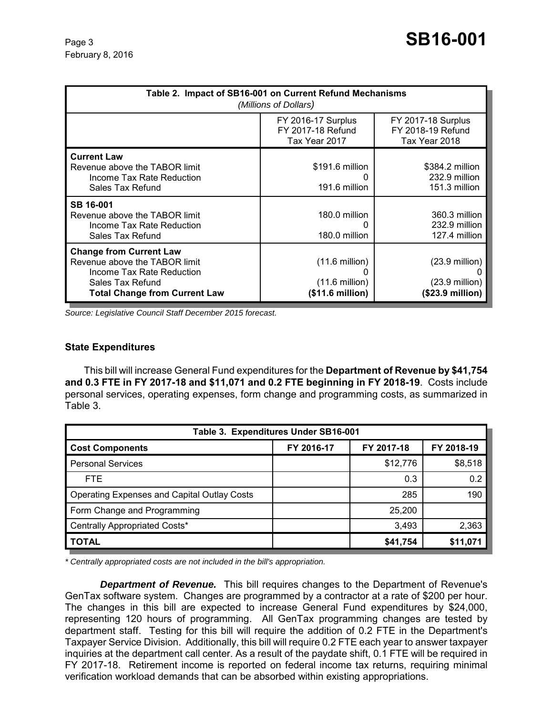| Table 2. Impact of SB16-001 on Current Refund Mechanisms<br>(Millions of Dollars)                                                                        |                                                                          |                                                                                  |  |  |
|----------------------------------------------------------------------------------------------------------------------------------------------------------|--------------------------------------------------------------------------|----------------------------------------------------------------------------------|--|--|
|                                                                                                                                                          | <b>FY 2016-17 Surplus</b><br>FY 2017-18 Refund<br>Tax Year 2017          | <b>FY 2017-18 Surplus</b><br>FY 2018-19 Refund<br>Tax Year 2018                  |  |  |
| <b>Current Law</b><br>Revenue above the TABOR limit<br>Income Tax Rate Reduction<br>Sales Tax Refund                                                     | \$191.6 million<br>191.6 million                                         | \$384.2 million<br>232.9 million<br>151.3 million                                |  |  |
| SB 16-001<br>Revenue above the TABOR limit<br>Income Tax Rate Reduction<br>Sales Tax Refund                                                              | 180.0 million<br>180.0 million                                           | 360.3 million<br>232.9 million<br>127.4 million                                  |  |  |
| <b>Change from Current Law</b><br>Revenue above the TABOR limit<br>Income Tax Rate Reduction<br>Sales Tax Refund<br><b>Total Change from Current Law</b> | $(11.6 \text{ million})$<br>$(11.6 \text{ million})$<br>(\$11.6 million) | $(23.9 \text{ million})$<br>$(23.9 \text{ million})$<br>$($23.9\text{ million})$ |  |  |

*Source: Legislative Council Staff December 2015 forecast.*

#### **State Expenditures**

This bill will increase General Fund expenditures for the **Department of Revenue by \$41,754 and 0.3 FTE in FY 2017-18 and \$11,071 and 0.2 FTE beginning in FY 2018-19**. Costs include personal services, operating expenses, form change and programming costs, as summarized in Table 3.

| Table 3. Expenditures Under SB16-001               |            |            |            |  |
|----------------------------------------------------|------------|------------|------------|--|
| <b>Cost Components</b>                             | FY 2016-17 | FY 2017-18 | FY 2018-19 |  |
| <b>Personal Services</b>                           |            | \$12,776   | \$8,518    |  |
| FTE.                                               |            | 0.3        | 0.2        |  |
| <b>Operating Expenses and Capital Outlay Costs</b> |            | 285        | 190        |  |
| Form Change and Programming                        |            | 25,200     |            |  |
| Centrally Appropriated Costs*                      |            | 3,493      | 2,363      |  |
| <b>TOTAL</b>                                       |            | \$41,754   | \$11,071   |  |

*\* Centrally appropriated costs are not included in the bill's appropriation.*

*Department of Revenue.* This bill requires changes to the Department of Revenue's GenTax software system. Changes are programmed by a contractor at a rate of \$200 per hour. The changes in this bill are expected to increase General Fund expenditures by \$24,000, representing 120 hours of programming. All GenTax programming changes are tested by department staff. Testing for this bill will require the addition of 0.2 FTE in the Department's Taxpayer Service Division. Additionally, this bill will require 0.2 FTE each year to answer taxpayer inquiries at the department call center. As a result of the paydate shift, 0.1 FTE will be required in FY 2017-18. Retirement income is reported on federal income tax returns, requiring minimal verification workload demands that can be absorbed within existing appropriations.